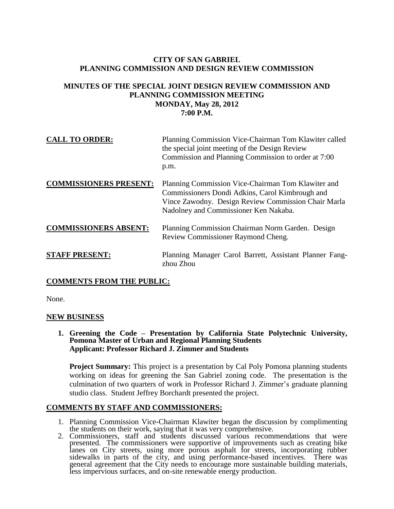# **CITY OF SAN GABRIEL PLANNING COMMISSION AND DESIGN REVIEW COMMISSION**

### **MINUTES OF THE SPECIAL JOINT DESIGN REVIEW COMMISSION AND PLANNING COMMISSION MEETING MONDAY, May 28, 2012 7:00 P.M.**

| <b>CALL TO ORDER:</b>         | Planning Commission Vice-Chairman Tom Klawiter called<br>the special joint meeting of the Design Review<br>Commission and Planning Commission to order at 7:00<br>p.m.                                |
|-------------------------------|-------------------------------------------------------------------------------------------------------------------------------------------------------------------------------------------------------|
| <b>COMMISSIONERS PRESENT:</b> | Planning Commission Vice-Chairman Tom Klawiter and<br>Commissioners Dondi Adkins, Carol Kimbrough and<br>Vince Zawodny. Design Review Commission Chair Marla<br>Nadolney and Commissioner Ken Nakaba. |
| <b>COMMISSIONERS ABSENT:</b>  | Planning Commission Chairman Norm Garden. Design<br>Review Commissioner Raymond Cheng.                                                                                                                |
| <b>STAFF PRESENT:</b>         | Planning Manager Carol Barrett, Assistant Planner Fang-<br>zhou Zhou                                                                                                                                  |

# **COMMENTS FROM THE PUBLIC:**

None.

#### **NEW BUSINESS**

**1. Greening the Code – Presentation by California State Polytechnic University, Pomona Master of Urban and Regional Planning Students Applicant: Professor Richard J. Zimmer and Students**

**Project Summary:** This project is a presentation by Cal Poly Pomona planning students working on ideas for greening the San Gabriel zoning code. The presentation is the culmination of two quarters of work in Professor Richard J. Zimmer's graduate planning studio class. Student Jeffrey Borchardt presented the project.

#### **COMMENTS BY STAFF AND COMMISSIONERS:**

- 1. Planning Commission Vice-Chairman Klawiter began the discussion by complimenting the students on their work, saying that it was very comprehensive.
- 2. Commissioners, staff and students discussed various recommendations that were presented. The commissioners were supportive of improvements such as creating bike lanes on City streets, using more porous asphalt for streets, incorporating rubber sidewalks in parts of the city, and using performance-based incentives. There was general agreement that the City needs to encourage more sustainable building materials, less impervious surfaces, and on-site renewable energy production.